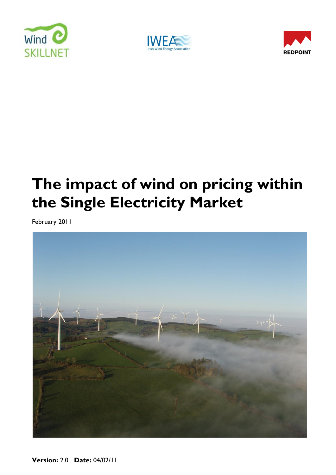





# **The impact of wind on pricing within the Single Electricity Market**

February 2011



**Version:** 2.0 **Date:** 04/02/11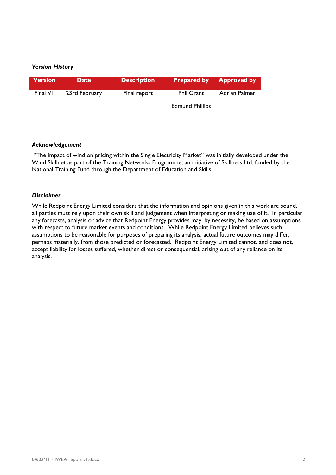#### *Version History*

| <b>Version</b> | <b>Date</b>   | <b>Description</b> |                                             | <b>Prepared by   Approved by</b> |
|----------------|---------------|--------------------|---------------------------------------------|----------------------------------|
| Final VI       | 23rd February | Final report       | <b>Phil Grant</b><br><b>Edmund Phillips</b> | Adrian Palmer                    |

#### *Acknowledgement*

"The impact of wind on pricing within the Single Electricity Market" was initially developed under the Wind Skillnet as part of the Training Networks Programme, an initiative of Skillnets Ltd. funded by the National Training Fund through the Department of Education and Skills.

#### *Disclaimer*

While Redpoint Energy Limited considers that the information and opinions given in this work are sound, all parties must rely upon their own skill and judgement when interpreting or making use of it. In particular any forecasts, analysis or advice that Redpoint Energy provides may, by necessity, be based on assumptions with respect to future market events and conditions. While Redpoint Energy Limited believes such assumptions to be reasonable for purposes of preparing its analysis, actual future outcomes may differ, perhaps materially, from those predicted or forecasted. Redpoint Energy Limited cannot, and does not, accept liability for losses suffered, whether direct or consequential, arising out of any reliance on its analysis.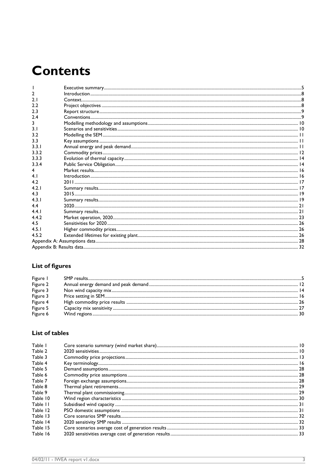# **Contents**

## **List of figures**

| Figure I |  |
|----------|--|
| Figure 2 |  |
| Figure 3 |  |
| Figure 3 |  |
| Figure 4 |  |
| Figure 5 |  |
| Figure 6 |  |

### List of tables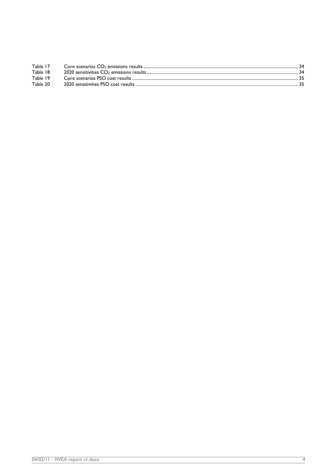| Table 17 |  |
|----------|--|
| Table 18 |  |
| Table 19 |  |
| Table 20 |  |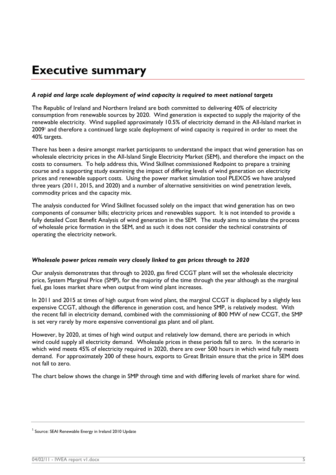## <span id="page-4-0"></span>**Executive summary**

#### *A rapid and large scale deployment of wind capacity is required to meet national targets*

The Republic of Ireland and Northern Ireland are both committed to delivering 40% of electricity consumption from renewable sources by 2020. Wind generation is expected to supply the majority of the renewable electricity. Wind supplied approximately 10.5% of electricity demand in the All-Island market in 2009<sup>1</sup> and therefore a continued large scale deployment of wind capacity is required in order to meet the 40% targets.

There has been a desire amongst market participants to understand the impact that wind generation has on wholesale electricity prices in the All-Island Single Electricity Market (SEM), and therefore the impact on the costs to consumers. To help address this, Wind Skillnet commissioned Redpoint to prepare a training course and a supporting study examining the impact of differing levels of wind generation on electricity prices and renewable support costs. Using the power market simulation tool PLEXOS we have analysed three years (2011, 2015, and 2020) and a number of alternative sensitivities on wind penetration levels, commodity prices and the capacity mix.

The analysis conducted for Wind Skillnet focussed solely on the impact that wind generation has on two components of consumer bills; electricity prices and renewables support. It is not intended to provide a fully detailed Cost Benefit Analysis of wind generation in the SEM. The study aims to simulate the process of wholesale price formation in the SEM, and as such it does not consider the technical constraints of operating the electricity network.

#### *Wholesale power prices remain very closely linked to gas prices through to 2020*

Our analysis demonstrates that through to 2020, gas fired CCGT plant will set the wholesale electricity price, System Marginal Price (SMP), for the majority of the time through the year although as the marginal fuel, gas loses market share when output from wind plant increases.

In 2011 and 2015 at times of high output from wind plant, the marginal CCGT is displaced by a slightly less expensive CCGT, although the difference in generation cost, and hence SMP, is relatively modest. With the recent fall in electricity demand, combined with the commissioning of 800 MW of new CCGT, the SMP is set very rarely by more expensive conventional gas plant and oil plant.

However, by 2020, at times of high wind output and relatively low demand, there are periods in which wind could supply all electricity demand. Wholesale prices in these periods fall to zero. In the scenario in which wind meets 45% of electricity required in 2020, there are over 500 hours in which wind fully meets demand. For approximately 200 of these hours, exports to Great Britain ensure that the price in SEM does not fall to zero.

The chart below shows the change in SMP through time and with differing levels of market share for wind.

<sup>&</sup>lt;sup>1</sup> Source: SEAI Renewable Energy in Ireland 2010 Update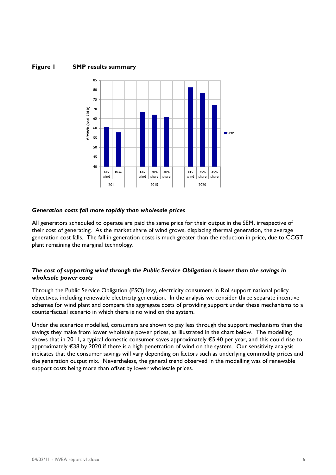#### **Figure 1 SMP results summary**



#### *Generation costs fall more rapidly than wholesale prices*

All generators scheduled to operate are paid the same price for their output in the SEM, irrespective of their cost of generating. As the market share of wind grows, displacing thermal generation, the average generation cost falls. The fall in generation costs is much greater than the reduction in price, due to CCGT plant remaining the marginal technology.

#### *The cost of supporting wind through the Public Service Obligation is lower than the savings in wholesale power costs*

Through the Public Service Obligation (PSO) levy, electricity consumers in RoI support national policy objectives, including renewable electricity generation. In the analysis we consider three separate incentive schemes for wind plant and compare the aggregate costs of providing support under these mechanisms to a counterfactual scenario in which there is no wind on the system.

Under the scenarios modelled, consumers are shown to pay less through the support mechanisms than the savings they make from lower wholesale power prices, as illustrated in the chart below. The modelling shows that in 2011, a typical domestic consumer saves approximately €5.40 per year, and this could rise to approximately €38 by 2020 if there is a high penetration of wind on the system. Our sensitivity analysis indicates that the consumer savings will vary depending on factors such as underlying commodity prices and the generation output mix. Nevertheless, the general trend observed in the modelling was of renewable support costs being more than offset by lower wholesale prices.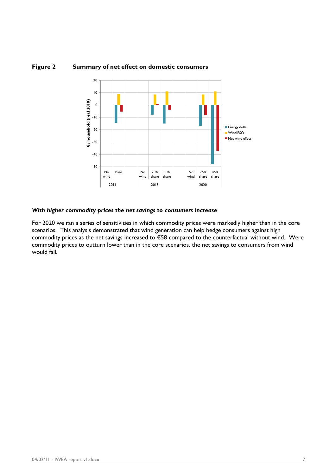

#### **Figure 2 Summary of net effect on domestic consumers**

#### *With higher commodity prices the net savings to consumers increase*

For 2020 we ran a series of sensitivities in which commodity prices were markedly higher than in the core scenarios. This analysis demonstrated that wind generation can help hedge consumers against high commodity prices as the net savings increased to €58 compared to the counterfactual without wind. Were commodity prices to outturn lower than in the core scenarios, the net savings to consumers from wind would fall.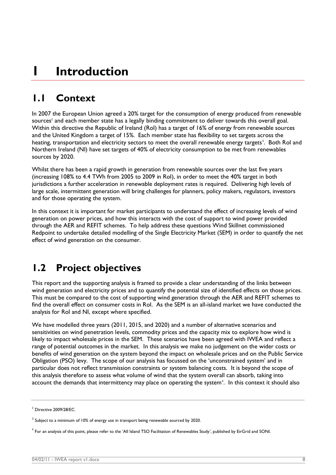# <span id="page-7-0"></span>**1 Introduction**

## <span id="page-7-1"></span>**1.1 Context**

In 2007 the European Union agreed a 20% target for the consumption of energy produced from renewable sources $2$  and each member state has a legally binding commitment to deliver towards this overall goal. Within this directive the Republic of Ireland (RoI) has a target of 16% of energy from renewable sources and the United Kingdom a target of 15%. Each member state has flexibility to set targets across the heating, transportation and electricity sectors to meet the overall renewable energy targets<sup>3</sup>. Both RoI and Northern Ireland (NI) have set targets of 40% of electricity consumption to be met from renewables sources by 2020.

Whilst there has been a rapid growth in generation from renewable sources over the last five years (increasing 108% to 4.4 TWh from 2005 to 2009 in RoI), in order to meet the 40% target in both jurisdictions a further acceleration in renewable deployment rates is required. Delivering high levels of large scale, intermittent generation will bring challenges for planners, policy makers, regulators, investors and for those operating the system.

In this context it is important for market participants to understand the effect of increasing levels of wind generation on power prices, and how this interacts with the cost of support to wind power provided through the AER and REFIT schemes. To help address these questions Wind Skillnet commissioned Redpoint to undertake detailed modelling of the Single Electricity Market (SEM) in order to quantify the net effect of wind generation on the consumer.

## <span id="page-7-2"></span>**1.2 Project objectives**

This report and the supporting analysis is framed to provide a clear understanding of the links between wind generation and electricity prices and to quantify the potential size of identified effects on those prices. This must be compared to the cost of supporting wind generation through the AER and REFIT schemes to find the overall effect on consumer costs in RoI. As the SEM is an all-island market we have conducted the analysis for RoI and NI, except where specified.

We have modelled three years (2011, 2015, and 2020) and a number of alternative scenarios and sensitivities on wind penetration levels, commodity prices and the capacity mix to explore how wind is likely to impact wholesale prices in the SEM. These scenarios have been agreed with IWEA and reflect a range of potential outcomes in the market. In this analysis we make no judgement on the wider costs or benefits of wind generation on the system beyond the impact on wholesale prices and on the Public Service Obligation (PSO) levy. The scope of our analysis has focussed on the "unconstrained system" and in particular does not reflect transmission constraints or system balancing costs. It is beyond the scope of this analysis therefore to assess what volume of wind that the system overall can absorb, taking into account the demands that intermittency may place on operating the system<sup>4</sup>. In this context it should also

 $2$  Directive 2009/28/EC.

 $^3$  Subject to a minimum of 10% of energy use in transport being renewable sourced by 2020.

 $^4$  For an analysis of this point, please refer to the 'All Island TSO Facilitation of Renewables Study', published by EirGrid and SONI.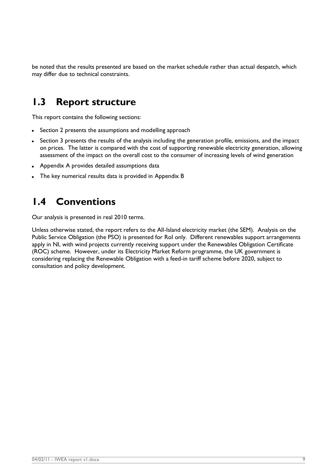be noted that the results presented are based on the market schedule rather than actual despatch, which may differ due to technical constraints.

## <span id="page-8-0"></span>**1.3 Report structure**

This report contains the following sections:

- Section [2](#page-9-0) presents the assumptions and modelling approach
- Section [3](#page-15-0) presents the results of the analysis including the generation profile, emissions, and the impact on prices. The latter is compared with the cost of supporting renewable electricity generation, allowing assessment of the impact on the overall cost to the consumer of increasing levels of wind generation
- Appendix A provides detailed assumptions data
- The key numerical results data is provided in Appendix B

## <span id="page-8-1"></span>**1.4 Conventions**

Our analysis is presented in real 2010 terms.

Unless otherwise stated, the report refers to the All-Island electricity market (the SEM). Analysis on the Public Service Obligation (the PSO) is presented for RoI only. Different renewables support arrangements apply in NI, with wind projects currently receiving support under the Renewables Obligation Certificate (ROC) scheme. However, under its Electricity Market Reform programme, the UK government is considering replacing the Renewable Obligation with a feed-in tariff scheme before 2020, subject to consultation and policy development.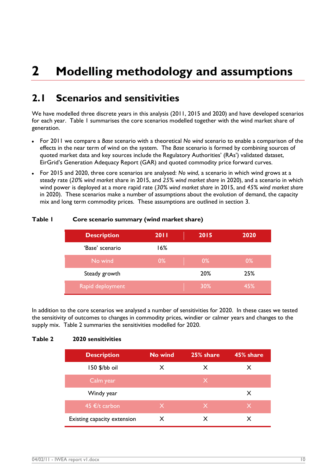# <span id="page-9-0"></span>**2 Modelling methodology and assumptions**

## <span id="page-9-1"></span>**2.1 Scenarios and sensitivities**

We have modelled three discrete years in this analysis (2011, 2015 and 2020) and have developed scenarios for each year. [Table 1](#page-9-2) summarises the core scenarios modelled together with the wind market share of generation.

- For 2011 we compare a *Base* scenario with a theoretical *No wind* scenario to enable a comparison of the effects in the near term of wind on the system. The *Base* scenario is formed by combining sources of quoted market data and key sources include the Regulatory Authorities' (RAs') validated dataset, EirGrid"s Generation Adequacy Report (GAR) and quoted commodity price forward curves.
- For 2015 and 2020, three core scenarios are analysed: *No wind*, a scenario in which wind grows at a steady rate (*20% wind market* share in 2015, and *25% wind market share* in 2020), and a scenario in which wind power is deployed at a more rapid rate (*30% wind market share* in 2015, and *45% wind market share*  in 2020). These scenarios make a number of assumptions about the evolution of demand, the capacity mix and long term commodity prices. These assumptions are outlined in section [3.](#page-15-0)

| <b>Description</b> | <b>2011</b> | 2015<br>$\mathcal{A}(\mathcal{C})$ | 2020  |
|--------------------|-------------|------------------------------------|-------|
| 'Base' scenario    | 16%         |                                    |       |
| No wind            | $0\%$       | $0\%$                              | $0\%$ |
| Steady growth      |             | 20%                                | 25%   |
| Rapid deployment   |             | 30%                                | 45%   |

#### <span id="page-9-2"></span>**Table 1 Core scenario summary (wind market share)**

In addition to the core scenarios we analysed a number of sensitivities for 2020. In these cases we tested the sensitivity of outcomes to changes in commodity prices, windier or calmer years and changes to the supply mix. [Table 2](#page-9-3) summaries the sensitivities modelled for 2020.

#### <span id="page-9-3"></span>**Table 2 2020 sensitivities**

| <b>Description</b>          | No wind      | 25% share    | 45% share |
|-----------------------------|--------------|--------------|-----------|
| 150 \$/bb oil               | X            | X            | X         |
| Calm year                   |              | $\mathsf{X}$ |           |
| Windy year                  |              |              | X         |
| 45 €/t carbon               | $\mathsf{X}$ | $\mathsf{X}$ | X.        |
| Existing capacity extension | x            | x            |           |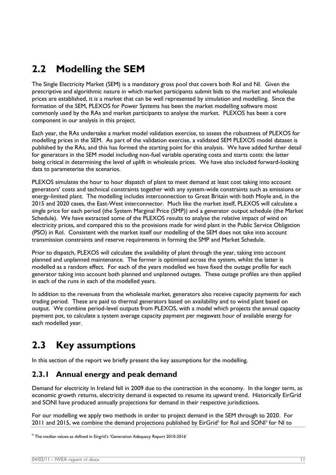## <span id="page-10-0"></span>**2.2 Modelling the SEM**

The Single Electricity Market (SEM) is a mandatory gross pool that covers both RoI and NI. Given the prescriptive and algorithmic nature in which market participants submit bids to the market and wholesale prices are established, it is a market that can be well represented by simulation and modelling. Since the formation of the SEM, PLEXOS for Power Systems has been the market modelling software most commonly used by the RAs and market participants to analyse the market. PLEXOS has been a core component in our analysis in this project.

Each year, the RAs undertake a market model validation exercise, to assess the robustness of PLEXOS for modelling prices in the SEM. As part of the validation exercise, a validated SEM PLEXOS model dataset is published by the RAs, and this has formed the starting point for this analysis. We have added further detail for generators in the SEM model including non-fuel variable operating costs and starts costs: the latter being critical in determining the level of uplift in wholesale prices. We have also included forward-looking data to parameterise the scenarios.

PLEXOS simulates the hour to hour dispatch of plant to meet demand at least cost taking into account generators" costs and technical constraints together with any system-wide constraints such as emissions or energy-limited plant. The modelling includes interconnection to Great Britain with both Moyle and, in the 2015 and 2020 cases, the East-West interconnector. Much like the market itself, PLEXOS will calculate a single price for each period (the System Marginal Price (SMP)) and a generator output schedule (the Market Schedule). We have extracted some of the PLEXOS results to analyse the relative impact of wind on electricity prices, and compared this to the provisions made for wind plant in the Public Service Obligation (PSO) in RoI. Consistent with the market itself our modelling of the SEM does not take into account transmission constraints and reserve requirements in forming the SMP and Market Schedule.

Prior to dispatch, PLEXOS will calculate the availability of plant through the year, taking into account planned and unplanned maintenance. The former is optimised across the system, whilst the latter is modelled as a random effect. For each of the years modelled we have fixed the outage profile for each generator taking into account both planned and unplanned outages. These outage profiles are then applied in each of the runs in each of the modelled years.

In addition to the revenues from the wholesale market, generators also receive capacity payments for each trading period. These are paid to thermal generators based on availability and to wind plant based on output. We combine period-level outputs from PLEXOS, with a model which projects the annual capacity payment pot, to calculate a system average capacity payment per megawatt hour of available energy for each modelled year.

## <span id="page-10-1"></span>**2.3 Key assumptions**

In this section of the report we briefly present the key assumptions for the modelling.

## <span id="page-10-2"></span>**2.3.1 Annual energy and peak demand**

Demand for electricity in Ireland fell in 2009 due to the contraction in the economy. In the longer term, as economic growth returns, electricity demand is expected to resume its upward trend. Historically EirGrid and SONI have produced annually projections for demand in their respective jurisdictions.

For our modelling we apply two methods in order to project demand in the SEM through to 2020. For 2011 and 2015, we combine the demand projections published by EirGrid<sup>5</sup> for RoI and SONI<sup>6</sup> for NI to

 $^5$  The median values as defined in Eirgrid's 'Generation Adequacy Report 2010-2016'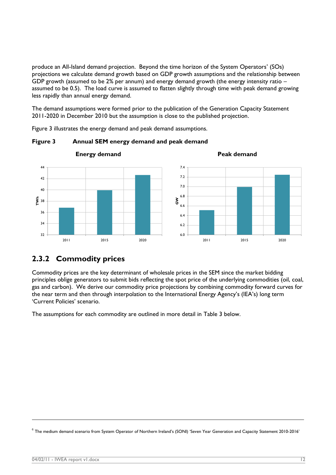produce an All-Island demand projection. Beyond the time horizon of the System Operators" (SOs) projections we calculate demand growth based on GDP growth assumptions and the relationship between GDP growth (assumed to be 2% per annum) and energy demand growth (the energy intensity ratio – assumed to be 0.5). The load curve is assumed to flatten slightly through time with peak demand growing less rapidly than annual energy demand.

The demand assumptions were formed prior to the publication of the Generation Capacity Statement 2011-2020 in December 2010 but the assumption is close to the published projection.

[Figure 3](#page-11-1) illustrates the energy demand and peak demand assumptions.



<span id="page-11-1"></span>**Figure 3 Annual SEM energy demand and peak demand**

## <span id="page-11-0"></span>**2.3.2 Commodity prices**

Commodity prices are the key determinant of wholesale prices in the SEM since the market bidding principles oblige generators to submit bids reflecting the spot price of the underlying commodities (oil, coal, gas and carbon). We derive our commodity price projections by combining commodity forward curves for the near term and then through interpolation to the International Energy Agency's (IEA's) long term 'Current Policies' scenario.

The assumptions for each commodity are outlined in more detail in [Table 3](#page-12-0) below.

 $^6$  The medium demand scenario from System Operator of Northern Ireland's (SONI) 'Seven Year Generation and Capacity Statement 2010-2016'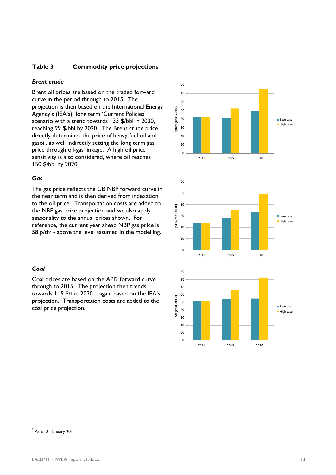#### <span id="page-12-0"></span>**Table 3 Commodity price projections**

#### *Brent crude*

Brent oil prices are based on the traded forward curve in the period through to 2015. The projection is then based on the International Energy Agency's (IEA's) long term 'Current Policies' scenario with a trend towards 133 \$/bbl in 2030, reaching 99 \$/bbl by 2020. The Brent crude price directly determines the price of heavy fuel oil and gasoil, as well indirectly setting the long term gas price through oil-gas linkage. A high oil price sensitivity is also considered, where oil reaches 150 \$/bbl by 2020.

#### *Gas*

The gas price reflects the GB NBP forward curve in the near term and is then derived from indexation to the oil price. Transportation costs are added to the NBP gas price projection and we also apply seasonality to the annual prices shown. For reference, the current year ahead NBP gas price is 58  $p$ /th<sup>7</sup> - above the level assumed in the modelling.







#### <span id="page-12-1"></span>*Coal*

Coal prices are based on the API2 forward curve through to 2015. The projection then trends towards  $115$  \$/t in 2030 – again based on the IEA's projection. Transportation costs are added to the coal price projection.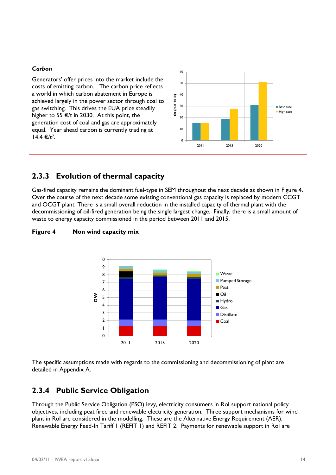#### *Carbon*

Generators" offer prices into the market include the costs of emitting carbon. The carbon price reflects a world in which carbon abatement in Europe is achieved largely in the power sector through coal to gas switching. This drives the EUA price steadily higher to 55  $\epsilon$ /t in 2030. At this point, the generation cost of coal and gas are approximately equal. Year ahead carbon is currently trading at  $14.4 €/t^7.$  $14.4 €/t^7.$  $14.4 €/t^7.$ 



## <span id="page-13-0"></span>**2.3.3 Evolution of thermal capacity**

Gas-fired capacity remains the dominant fuel-type in SEM throughout the next decade as shown in [Figure 4.](#page-13-2) Over the course of the next decade some existing conventional gas capacity is replaced by modern CCGT and OCGT plant. There is a small overall reduction in the installed capacity of thermal plant with the decommissioning of oil-fired generation being the single largest change. Finally, there is a small amount of waste to energy capacity commissioned in the period between 2011 and 2015.



#### <span id="page-13-2"></span>**Figure 4 Non wind capacity mix**

The specific assumptions made with regards to the commissioning and decommissioning of plant are detailed in Appendix A.

### <span id="page-13-1"></span>**2.3.4 Public Service Obligation**

Through the Public Service Obligation (PSO) levy, electricity consumers in RoI support national policy objectives, including peat fired and renewable electricity generation. Three support mechanisms for wind plant in RoI are considered in the modelling. These are the Alternative Energy Requirement (AER), Renewable Energy Feed-In Tariff 1 (REFIT 1) and REFIT 2. Payments for renewable support in RoI are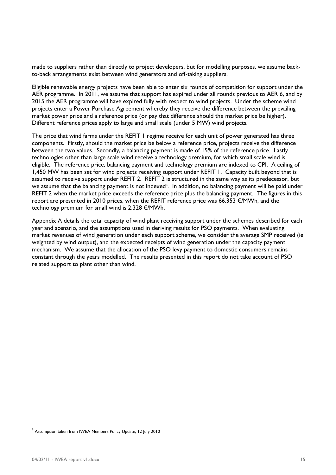made to suppliers rather than directly to project developers, but for modelling purposes, we assume backto-back arrangements exist between wind generators and off-taking suppliers.

Eligible renewable energy projects have been able to enter six rounds of competition for support under the AER programme. In 2011, we assume that support has expired under all rounds previous to AER 6, and by 2015 the AER programme will have expired fully with respect to wind projects. Under the scheme wind projects enter a Power Purchase Agreement whereby they receive the difference between the prevailing market power price and a reference price (or pay that difference should the market price be higher). Different reference prices apply to large and small scale (under 5 MW) wind projects.

The price that wind farms under the REFIT 1 regime receive for each unit of power generated has three components. Firstly, should the market price be below a reference price, projects receive the difference between the two values. Secondly, a balancing payment is made of 15% of the reference price. Lastly technologies other than large scale wind receive a technology premium, for which small scale wind is eligible. The reference price, balancing payment and technology premium are indexed to CPI. A ceiling of 1,450 MW has been set for wind projects receiving support under REFIT 1. Capacity built beyond that is assumed to receive support under REFIT 2. REFIT 2 is structured in the same way as its predecessor, but we assume that the balancing payment is not indexed<sup>8</sup>. In addition, no balancing payment will be paid under REFIT 2 when the market price exceeds the reference price plus the balancing payment. The figures in this report are presented in 2010 prices, when the REFIT reference price was 66.353 €/MWh, and the technology premium for small wind is 2.328 €/MWh.

Appendix A details the total capacity of wind plant receiving support under the schemes described for each year and scenario, and the assumptions used in deriving results for PSO payments. When evaluating market revenues of wind generation under each support scheme, we consider the average SMP received (ie weighted by wind output), and the expected receipts of wind generation under the capacity payment mechanism. We assume that the allocation of the PSO levy payment to domestic consumers remains constant through the years modelled. The results presented in this report do not take account of PSO related support to plant other than wind.

<sup>8</sup> Assumption taken from IWEA Members Policy Update, 12 July 2010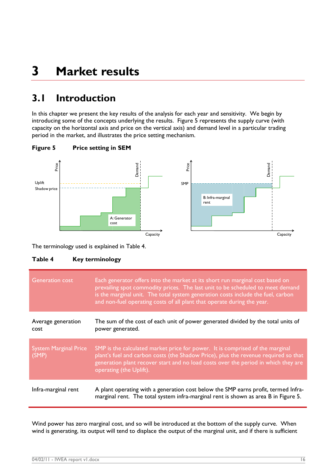# <span id="page-15-0"></span>**3 Market results**

## <span id="page-15-1"></span>**3.1 Introduction**

In this chapter we present the key results of the analysis for each year and sensitivity. We begin by introducing some of the concepts underlying the results. [Figure 5](#page-15-2) represents the supply curve (with capacity on the horizontal axis and price on the vertical axis) and demand level in a particular trading period in the market, and illustrates the price setting mechanism.



<span id="page-15-2"></span>**Figure 5 Price setting in SEM**

#### <span id="page-15-3"></span>**Table 4 Key terminology**

| Price<br>Uplift<br>Shadow price<br>The terminology used is explained in Table 4.<br>Table 4 | Demand<br>Price<br>Demand<br>SMP<br>B: Infra-marginal<br>rent<br>A: Generator<br>cost<br>Capacity<br><b>Key terminology</b>                                                                                                                                                                                                    | Capacity |
|---------------------------------------------------------------------------------------------|--------------------------------------------------------------------------------------------------------------------------------------------------------------------------------------------------------------------------------------------------------------------------------------------------------------------------------|----------|
| Generation cost                                                                             | Each generator offers into the market at its short run marginal cost based on<br>prevailing spot commodity prices. The last unit to be scheduled to meet demand<br>is the marginal unit. The total system generation costs include the fuel, carbon<br>and non-fuel operating costs of all plant that operate during the year. |          |
| Average generation<br>cost                                                                  | The sum of the cost of each unit of power generated divided by the total units of<br>power generated.                                                                                                                                                                                                                          |          |
| <b>System Marginal Price</b><br>(SMP)                                                       | SMP is the calculated market price for power. It is comprised of the marginal<br>plant's fuel and carbon costs (the Shadow Price), plus the revenue required so that<br>generation plant recover start and no load costs over the period in which they are<br>operating (the Uplift).                                          |          |
| Infra-marginal rent                                                                         | A plant operating with a generation cost below the SMP earns profit, termed Infra-<br>marginal rent. The total system infra-marginal rent is shown as area B in Figure 5.                                                                                                                                                      |          |
|                                                                                             | Wind power has zero marginal cost, and so will be introduced at the bottom of the supply curve. When<br>wind is generating, its output will tend to displace the output of the marginal unit, and if there is sufficient                                                                                                       |          |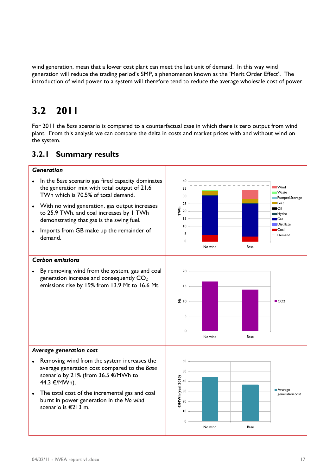wind generation, mean that a lower cost plant can meet the last unit of demand. In this way wind generation will reduce the trading period's SMP, a phenomenon known as the 'Merit Order Effect'. The introduction of wind power to a system will therefore tend to reduce the average wholesale cost of power.

## <span id="page-16-0"></span>**3.2 2011**

For 2011 the *Base* scenario is compared to a counterfactual case in which there is zero output from wind plant. From this analysis we can compare the delta in costs and market prices with and without wind on the system.

### <span id="page-16-1"></span>**3.2.1 Summary results**

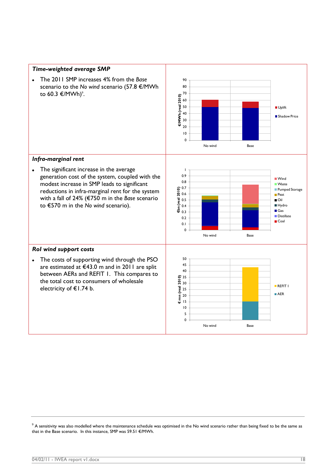

 $9$  A sensitivity was also modelled where the maintenance schedule was optimised in the No wind scenario rather than being fixed to be the same as that in the Base scenario. In this instance, SMP was 59.51 €/MWh.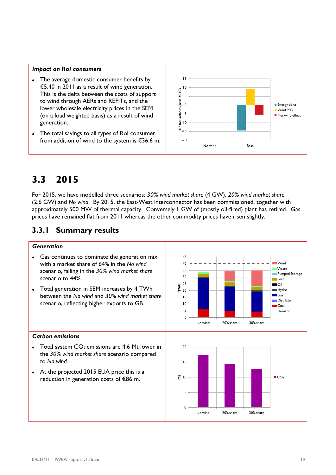#### *Impact on RoI consumers*

- The average domestic consumer benefits by €5.40 in 2011 as a result of wind generation. This is the delta between the costs of support to wind through AERs and REFITs, and the lower wholesale electricity prices in the SEM (on a load weighted basis) as a result of wind generation.
- The total savings to all types of RoI consumer from addition of wind to the system is €36.6 m.



## <span id="page-18-0"></span>**3.3 2015**

For 2015, we have modelled three scenarios: *30% wind market share* (4 GW), *20% wind market share* (2.6 GW) and *No wind*. By 2015, the East-West interconnector has been commissioned, together with approximately 500 MW of thermal capacity. Conversely 1 GW of (mostly oil-fired) plant has retired. Gas prices have remained flat from 2011 whereas the other commodity prices have risen slightly.

### <span id="page-18-1"></span>**3.3.1 Summary results**

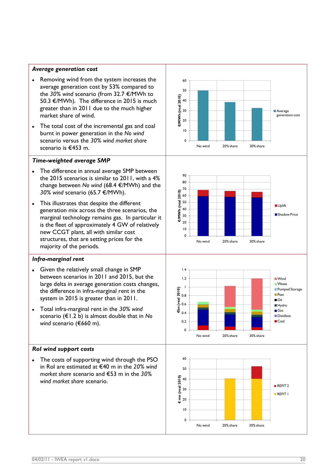#### *Average generation cost*

- Removing wind from the system increases the  $\bullet$ average generation cost by 53% compared to the *30% wind* scenario (from 32.7 €/MWh to 50.3 €/MWh). The difference in 2015 is much greater than in 2011 due to the much higher market share of wind .
- The total cost of the incremental gas and coal burnt in power generation in the *No wind*  scenario versus the *30% wind market share*  scenario is €453 m .

#### *Time -weighted average SMP*

- The difference in annual average SMP between the 2015 scenarios is similar to 2011, with a 4% change between *No wind* (68.4 €/MWh) and the *30% wind* scenario (65.7 €/MWh).
- This illustrates that despite the different  $\bullet$ generation mix across the three scenarios, the marginal technology remains gas. In particular it is the fleet of approximately 4 GW of relatively new CCGT plant, all with similar cost structures, that are setting prices for the majority of the period s .

#### *Infra -marginal rent*

- Given the relatively small change in SMP between scenarios in 2011 and 2015, but the large delta in average generation costs changes, the difference in infra -marginal rent in the system in 2015 is greater than in 2011.
- Total infra -marginal rent in the *30% wind*   $\bullet$ scenario (€1.2 b) is almost double that in *No wind* scenario (€660 m).

#### *RoI wind support costs*

The costs of supporting wind through the PSO in RoI are estimated at €40 m in the *20% wind market share* scenario and €53 m in the *30% wind market share* scenario .







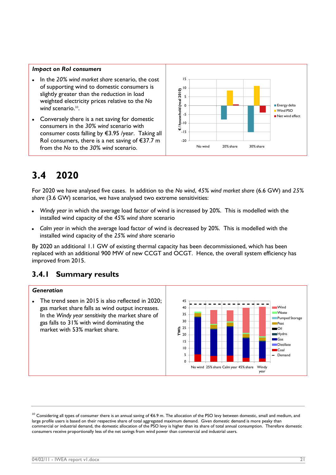#### *Impact on RoI consumers*

- In the *20% wind market share* scenario, the cost of supporting wind to domestic consumers is slightly greater than the reduction in load weighted electricity prices relative to the *No*  wind scenario.<sup>10</sup>.
- Conversely there is a net saving for domestic consumers in the *30% wind* scenario with consumer costs falling by €3.95 /year. Taking all RoI consumers, there is a net saving of  $E$ 37.7 m from the *No* to the *30% wind* scenario.



## <span id="page-20-0"></span>**3.4 2020**

For 2020 we have analysed five cases. In addition to the *No wind*, *45% wind market share* (6.6 GW) and *25% share* (3.6 GW) scenarios, we have analysed two extreme sensitivities:

- *Windy year* in which the average load factor of wind is increased by 20%. This is modelled with the installed wind capacity of the *45% wind share* scenario
- *Calm year* in which the average load factor of wind is decreased by 20%. This is modelled with the installed wind capacity of the *25% wind share* scenario

By 2020 an additional 1.1 GW of existing thermal capacity has been decommissioned, which has been replaced with an additional 900 MW of new CCGT and OCGT. Hence, the overall system efficiency has improved from 2015.

## <span id="page-20-1"></span>**3.4.1 Summary results**

#### *Generation*

The trend seen in 2015 is also reflected in 2020; gas market share falls as wind output increases. In the *Windy year sensitivity* the market share of gas falls to 31% with wind dominating the market with 53% market share.



 $^{10}$  Considering all types of consumer there is an annual saving of €6.9 m. The allocation of the PSO levy between domestic, small and medium, and large profile users is based on their respective share of total aggregated maximum demand. Given domestic demand is more peaky than commercial or industrial demand, the domestic allocation of the PSO levy is higher than its share of total annual consumption. Therefore domestic consumers receive proportionally less of the net savings from wind power than commercial and industrial users.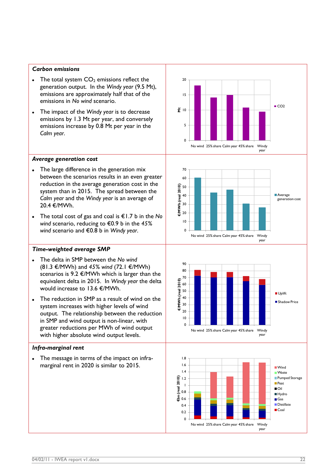#### *Carbon emissions*

- The total system  $CO<sub>2</sub>$  emissions reflect the  $\bullet$ generation output. In the *Windy year* (9.5 Mt), emissions are approximately half that of the emissions in *No wind* scenario.
- The impact of the *Windy year* is to decrease emissions by 1.3 Mt per year, and conversely emissions increase by 0.8 Mt per year in the *Calm year*.

#### *Average generation cost*

- The large difference in the generation mix  $\bullet$ between the scenarios results in an even greater reduction in the average generation cost in the system than in 2015. The spread between the *Calm year* and the *Windy year* is an average of 20.4 €/MWh.
- The total cost of gas and coal is €1.7 b in the *No wind* scenario, reducing to €0.9 b in the *45% wind* scenario and €0.8 b in *Windy year*.

#### *Time-weighted average SMP*

- The delta in SMP between the *No wind* (81.3 €/MWh) and *45% wind* (72.1 €/MWh) scenarios is 9.2 €/MWh which is larger than the equivalent delta in 2015. In *Windy year* the delta would increase to 13.6 €/MWh.
- The reduction in SMP as a result of wind on the system increases with higher levels of wind output. The relationship between the reduction in SMP and wind output is non-linear, with greater reductions per MWh of wind output with higher absolute wind output levels.

#### *Infra-marginal rent*

The message in terms of the impact on infra- $\bullet$ marginal rent in 2020 is similar to 2015.







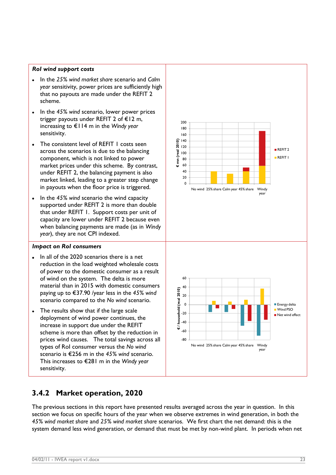#### *RoI wind support costs*

- In the *25% wind market share* scenario and *Calm year* sensitivity, power prices are sufficiently high that no payouts are made under the REFIT 2 scheme.
- In the 45% wind scenario, lower power prices trigger payouts under REFIT 2 of €12 m, increasing to €114 m in the *Windy year*  sensitivity.
- The consistent level of REFIT 1 costs seen across the scenarios is due to the balancing component, which is not linked to power market prices under this scheme. By contrast, under REFIT 2, the balancing payment is also market linked, leading to a greater step change in payouts when the floor price is triggered.
- In the *45% wind* scenario the wind capacity  $\bullet$ supported under REFIT 2 is more than double that under REFIT 1. Support costs per unit of capacity are lower under REFIT 2 because even when balancing payments are made (as in *Windy year*), they are not CPI indexed.

#### *Impact on RoI consumers*

- In all of the 2020 scenarios there is a net reduction in the load weighted wholesale costs of power to the domestic consumer as a result of wind on the system. The delta is more material than in 2015 with domestic consumers paying up to €37.90 /year less in the *45% wind*  scenario compared to the *No wind* scenario.
- The results show that if the large scale deployment of wind power continues, the increase in support due under the REFIT scheme is more than offset by the reduction in prices wind causes. The total savings across all types of RoI consumer versus the *No wind*  scenario is €256 m in the *45% wind* scenario. This increases to €281 m in the *Windy year* sensitivity.

#### 0  $20$ 40 60 80 100  $120 +$  $6140$ 160 180 200 **€ mn (real 2010)**  $RFFIT 2$ **REFIT 1**





### <span id="page-22-0"></span>**3.4.2 Market operation, 2020**

The previous sections in this report have presented results averaged across the year in question. In this section we focus on specific hours of the year when we observe extremes in wind generation, in both the *45% wind market share* and *25% wind market share* scenarios. We first chart the net demand: this is the system demand less wind generation, or demand that must be met by non-wind plant. In periods when net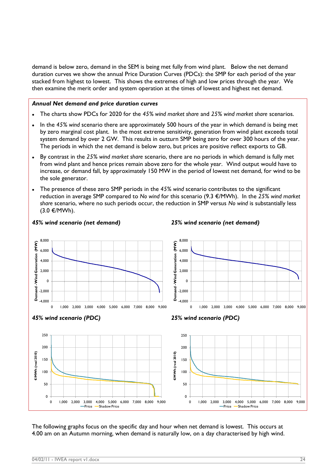demand is below zero, demand in the SEM is being met fully from wind plant. Below the net demand duration curves we show the annual Price Duration Curves (PDCs): the SMP for each period of the year stacked from highest to lowest. This shows the extremes of high and low prices through the year. We then examine the merit order and system operation at the times of lowest and highest net demand.

#### *Annual Net demand and price duration curves*

- The charts show PDCs for 2020 for the *45% wind market share* and *25% wind market share* scenarios.
- In the *45% wind* scenario there are approximately 500 hours of the year in which demand is being met by zero marginal cost plant. In the most extreme sensitivity, generation from wind plant exceeds total system demand by over 2 GW. This results in outturn SMP being zero for over 300 hours of the year. The periods in which the net demand is below zero, but prices are positive reflect exports to GB.
- By contrast in the *25% wind market share* scenario, there are no periods in which demand is fully met from wind plant and hence prices remain above zero for the whole year. Wind output would have to increase, or demand fall, by approximately 150 MW in the period of lowest net demand, for wind to be the sole generator.
- The presence of these zero SMP periods in the *45% wind* scenario contributes to the significant reduction in average SMP compared to *No wind* for this scenario (9.3 €/MWh). In the *25% wind market share* scenario, where no such periods occur, the reduction in SMP versus *No wind* is substantially less (3.0 €/MWh).



The following graphs focus on the specific day and hour when net demand is lowest. This occurs at 4.00 am on an Autumn morning, when demand is naturally low, on a day characterised by high wind.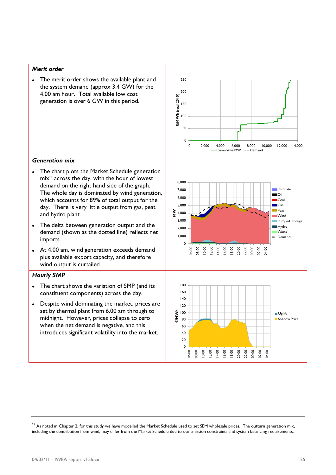#### *Merit order*

The merit order shows the available plant and  $\bullet$ the system demand (approx 3.4 GW) for the 4.00 am hour. Total available low cost generation is over 6 GW in this period.



#### *Generation mix*

- The chart plots the Market Schedule generation  $\bullet$  $mix<sup>11</sup>$  across the day, with the hour of lowest demand on the right hand side of the graph. The whole day is dominated by wind generation, which accounts for 89% of total output for the day. There is very little output from gas, peat and hydro plant.
- The delta between generation output and the  $\bullet$ demand (shown as the dotted line) reflects net imports.
- At 4.00 am, wind generation exceeds demand  $\bullet$ plus available export capacity, and therefore wind output is curtailed.

#### *Hourly SMP*

- The chart shows the variation of SMP (and its constituent components) across the day.
- Despite wind dominating the market, prices are set by thermal plant from 6.00 am through to midnight. However, prices collapse to zero when the net demand is negative, and this introduces significant volatility into the market.

 $11$  As noted in Chapter 2, for this study we have modelled the Market Schedule used to set SEM wholesale prices. The outturn generation mix, including the contribution from wind, may differ from the Market Schedule due to transmission constraints and system balancing requirements.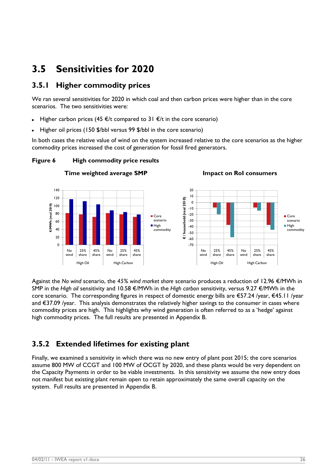## <span id="page-25-0"></span>**3.5 Sensitivities for 2020**

### <span id="page-25-1"></span>**3.5.1 Higher commodity prices**

We ran several sensitivities for 2020 in which coal and then carbon prices were higher than in the core scenarios. The two sensitivities were:

- Higher carbon prices (45  $\epsilon$ /t compared to 31  $\epsilon$ /t in the core scenario)
- Higher oil prices (150 \$/bbl versus 99 \$/bbl in the core scenario)

In both cases the relative value of wind on the system increased relative to the core scenarios as the higher commodity prices increased the cost of generation for fossil fired generators.

**Time weighted average SMP Impact on RoI consumers**

#### **Figure 6 High commodity price results**



Against the *No wind* scenario, the *45% wind market share* scenario produces a reduction of 12.96 €/MWh in SMP in the *High oil* sensitivity and 10.58 €/MWh in the *High carbon* sensitivity, versus 9.27 €/MWh in the core scenario. The corresponding figures in respect of domestic energy bills are €57.24 /year, €45.11 /year and €37.09 /year. This analysis demonstrates the relatively higher savings to the consumer in cases where commodity prices are high. This highlights why wind generation is often referred to as a "hedge" against high commodity prices. The full results are presented in Appendix B.

## <span id="page-25-2"></span>**3.5.2 Extended lifetimes for existing plant**

Finally, we examined a sensitivity in which there was no new entry of plant post 2015; the core scenarios assume 800 MW of CCGT and 100 MW of OCGT by 2020, and these plants would be very dependent on the Capacity Payments in order to be viable investments. In this sensitivity we assume the new entry does not manifest but existing plant remain open to retain approximately the same overall capacity on the system. Full results are presented in Appendix B.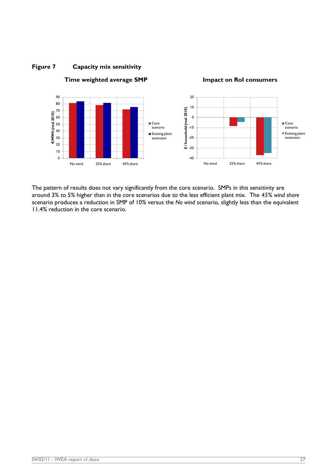

#### **Figure 7 Capacity mix sensitivity**

**Time weighted average SMP Impact on RoI consumers**

The pattern of results does not vary significantly from the core scenario. SMPs in this sensitivity are around 3% to 5% higher than in the core scenarios due to the less efficient plant mix. The *45% wind share*  scenario produces a reduction in SMP of 10% versus the *No wind* scenario, slightly less than the equivalent 11.4% reduction in the core scenario.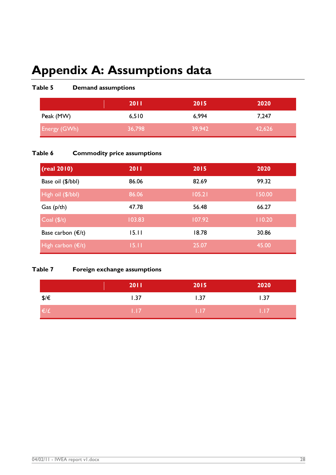# <span id="page-27-0"></span>**Appendix A: Assumptions data**

### **Table 5 Demand assumptions**

|              | <b>2011</b> | 2015   | 2020   |
|--------------|-------------|--------|--------|
| Peak (MW)    | 6,510       | 6,994  | 7,247  |
| Energy (GWh) | 36,798      | 39,942 | 42,626 |

### **Table 6 Commodity price assumptions**

| (real 2010)                | 2011   | 2015   | 2020   |
|----------------------------|--------|--------|--------|
| Base oil (\$/bbl)          | 86.06  | 82.69  | 99.32  |
| High oil (\$/bbl)          | 86.06  | 105.21 | 150.00 |
| Gas $(p/th)$               | 47.78  | 56.48  | 66.27  |
| $\text{Coal}(\frac{5}{t})$ | 103.83 | 107.92 | 110.20 |
| Base carbon $(\epsilon/t)$ | 15.11  | 18.78  | 30.86  |
| High carbon $(\epsilon/t)$ | 15.11  | 25.07  | 45.00  |

### **Table 7 Foreign exchange assumptions**

|              | 2011              | 2015       | 2020       |
|--------------|-------------------|------------|------------|
| \$/€         | 1.37              | 1.37       | 1.37       |
| $\epsilon/t$ | 1.17 <sub>1</sub> | $\pm 1.17$ | <b>THZ</b> |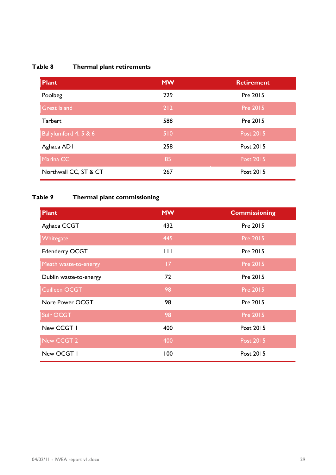## **Table 8 Thermal plant retirements**

| <b>Plant</b>          | <b>MW</b> | <b>Retirement</b> |
|-----------------------|-----------|-------------------|
| Poolbeg               | 229       | Pre 2015          |
| <b>Great Island</b>   | $212$     | <b>Pre 2015</b>   |
| <b>Tarbert</b>        | 588       | Pre 2015          |
| Ballylumford 4, 5 & 6 | 510       | <b>Post 2015</b>  |
| Aghada ADI            | 258       | Post 2015         |
| Marina CC             | 85        | <b>Post 2015</b>  |
| Northwall CC, ST & CT | 267       | Post 2015         |

## **Table 9 Thermal plant commissioning**

| <b>Plant</b>           | <b>MW</b>    | <b>Commissioning</b> |
|------------------------|--------------|----------------------|
| Aghada CCGT            | 432          | Pre 2015             |
| Whitegate              | 445          | <b>Pre 2015</b>      |
| Edenderry OCGT         | $\mathbf{H}$ | Pre 2015             |
| Meath waste-to-energy  | 17           | <b>Pre 2015</b>      |
| Dublin waste-to-energy | 72           | Pre 2015             |
| Cuilleen OCGT          | 98           | Pre 2015             |
| Nore Power OCGT        | 98           | Pre 2015             |
| Suir OCGT              | 98           | <b>Pre 2015</b>      |
| New CCGT I             | 400          | Post 2015            |
| New CCGT 2             | 400          | <b>Post 2015</b>     |
| New OCGT I             | 100          | Post 2015            |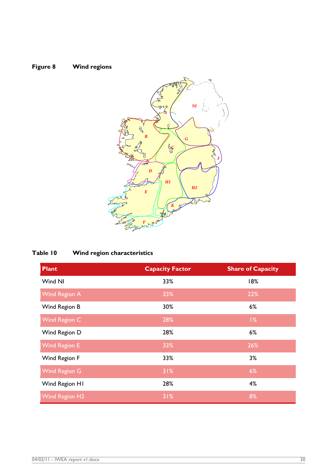



## **Table 10 Wind region characteristics**

| <b>Plant</b>          | <b>Capacity Factor</b> | <b>Share of Capacity</b> |
|-----------------------|------------------------|--------------------------|
| Wind NI               | 33%                    | 18%                      |
| <b>Wind Region A</b>  | 33%                    | 22%                      |
| Wind Region B         | 30%                    | 6%                       |
| Wind Region C         | 28%                    | 1%                       |
| Wind Region D         | 28%                    | 6%                       |
| <b>Wind Region E</b>  | 33%                    | 26%                      |
| Wind Region F         | 33%                    | 3%                       |
| <b>Wind Region G</b>  | 31%                    | 6%                       |
| Wind Region H1        | 28%                    | 4%                       |
| <b>Wind Region H2</b> | 31%                    | 8%                       |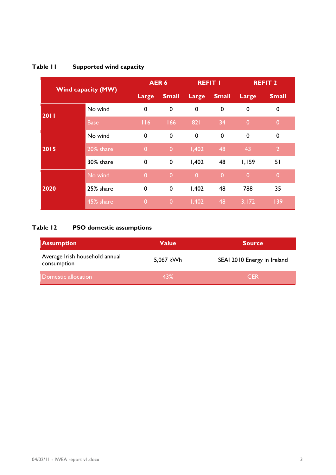| <b>Wind capacity (MW)</b> |             | AER <sub>6</sub> |                | <b>REFIT I</b> |                | <b>REFIT 2</b> |                |
|---------------------------|-------------|------------------|----------------|----------------|----------------|----------------|----------------|
|                           |             | Large            | <b>Small</b>   | Large          | <b>Small</b>   | Large          | <b>Small</b>   |
| 2011                      | No wind     | $\mathbf 0$      | $\mathbf 0$    | $\mathbf 0$    | $\mathbf 0$    | $\mathbf 0$    | $\mathbf 0$    |
|                           | <b>Base</b> | 116              | 166            | 821            | 34             | $\overline{0}$ | $\overline{0}$ |
|                           | No wind     | $\mathbf 0$      | $\mathbf 0$    | $\mathbf 0$    | $\mathbf 0$    | $\mathbf 0$    | $\mathbf 0$    |
| 2015                      | 20% share   | $\overline{0}$   | $\mathbf{0}$   | 1,402          | 48             | 43             | $\overline{2}$ |
|                           | 30% share   | $\mathbf 0$      | $\mathbf 0$    | 1,402          | 48             | 1,159          | 51             |
|                           | No wind     | $\overline{0}$   | $\overline{0}$ | $\overline{0}$ | $\overline{0}$ | $\overline{0}$ | $\overline{0}$ |
| 2020                      | 25% share   | $\mathbf 0$      | $\mathbf 0$    | 1,402          | 48             | 788            | 35             |
|                           | 45% share   | $\overline{0}$   | $\overline{0}$ | 1,402          | 48             | 3,172          | 139            |

## **Table 11 Supported wind capacity**

## **Table 12 PSO domestic assumptions**

| <b>Assumption</b>                             | <b>Value</b> | <b>Source</b>               |
|-----------------------------------------------|--------------|-----------------------------|
| Average Irish household annual<br>consumption | 5,067 kWh    | SEAI 2010 Energy in Ireland |
| Domestic allocation                           | 43%          | <b>CFR</b>                  |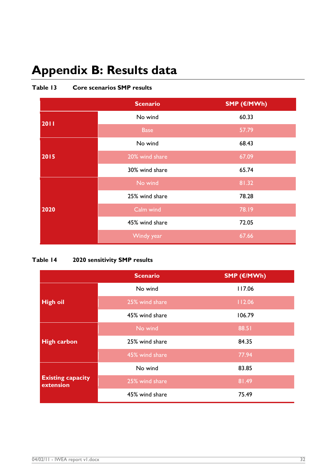# <span id="page-31-0"></span>**Appendix B: Results data**

|      | <b>Scenario</b> | SMP (€/MWh) |
|------|-----------------|-------------|
| 2011 | No wind         | 60.33       |
|      | <b>Base</b>     | 57.79       |
|      | No wind         | 68.43       |
| 2015 | 20% wind share  | 67.09       |
|      | 30% wind share  | 65.74       |
|      | No wind         | 81.32       |
|      | 25% wind share  | 78.28       |
| 2020 | Calm wind       | 78.19       |
|      | 45% wind share  | 72.05       |
|      | Windy year      | 67.66       |

#### **Table 13 Core scenarios SMP results**

### **Table 14 2020 sensitivity SMP results**

|                                       | <b>Scenario</b> | SMP (€/MWh) |
|---------------------------------------|-----------------|-------------|
|                                       | No wind         | 117.06      |
| <b>High oil</b>                       | 25% wind share  | 112.06      |
|                                       | 45% wind share  | 106.79      |
| <b>High carbon</b>                    | No wind         | 88.51       |
|                                       | 25% wind share  | 84.35       |
|                                       | 45% wind share  | 77.94       |
| <b>Existing capacity</b><br>extension | No wind         | 83.85       |
|                                       | 25% wind share  | 81.49       |
|                                       | 45% wind share  | 75.49       |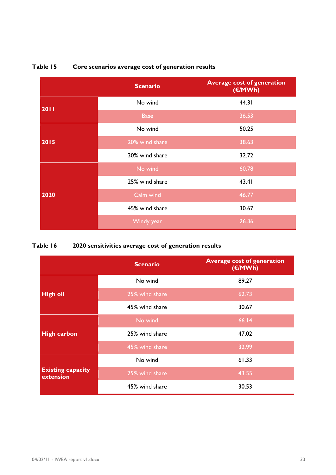|      | <b>Scenario</b> | <b>Average cost of generation</b><br>(€/MWh) |
|------|-----------------|----------------------------------------------|
| 2011 | No wind         | 44.31                                        |
|      | <b>Base</b>     | 36.53                                        |
|      | No wind         | 50.25                                        |
| 2015 | 20% wind share  | 38.63                                        |
|      | 30% wind share  | 32.72                                        |
|      | No wind         | 60.78                                        |
|      | 25% wind share  | 43.41                                        |
| 2020 | Calm wind       | 46.77                                        |
|      | 45% wind share  | 30.67                                        |
|      | Windy year      | 26.36                                        |

## **Table 15 Core scenarios average cost of generation results**

## **Table 16 2020 sensitivities average cost of generation results**

|                                       | <b>Scenario</b> | <b>Average cost of generation</b><br>(€/MWh) |
|---------------------------------------|-----------------|----------------------------------------------|
|                                       | No wind         | 89.27                                        |
| <b>High oil</b>                       | 25% wind share  | 62.73                                        |
|                                       | 45% wind share  | 30.67                                        |
| <b>High carbon</b>                    | No wind         | 66.14                                        |
|                                       | 25% wind share  | 47.02                                        |
|                                       | 45% wind share  | 32.99                                        |
|                                       | No wind         | 61.33                                        |
| <b>Existing capacity</b><br>extension | 25% wind share  | 43.55                                        |
|                                       | 45% wind share  | 30.53                                        |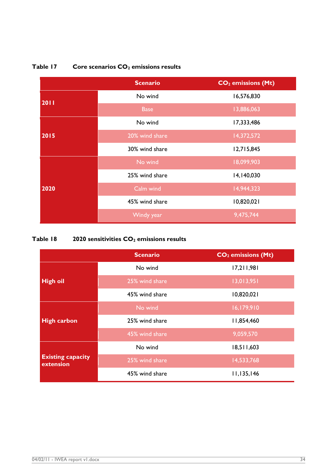

#### **Table 17 Core scenarios CO<sup>2</sup> emissions results**

#### **Table 18 2020 sensitivities CO<sup>2</sup> emissions results**

|                                       | <b>Scenario</b> | CO <sub>2</sub> emissions (Mt) |
|---------------------------------------|-----------------|--------------------------------|
| <b>High oil</b>                       | No wind         | 17,211,981                     |
|                                       | 25% wind share  | 13,013,951                     |
|                                       | 45% wind share  | 10,820,021                     |
| <b>High carbon</b>                    | No wind         | 16,179,910                     |
|                                       | 25% wind share  | 11,854,460                     |
|                                       | 45% wind share  | 9,059,570                      |
|                                       | No wind         | 18,511,603                     |
| <b>Existing capacity</b><br>extension | 25% wind share  | 14,533,768                     |
|                                       | 45% wind share  | 11,135,146                     |